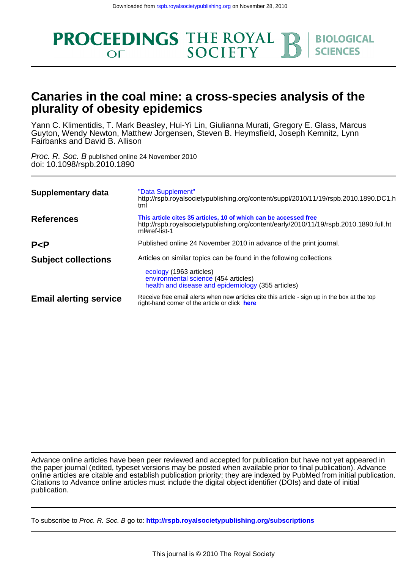

# **plurality of obesity epidemics Canaries in the coal mine: a cross-species analysis of the**

Fairbanks and David B. Allison Guyton, Wendy Newton, Matthew Jorgensen, Steven B. Heymsfield, Joseph Kemnitz, Lynn Yann C. Klimentidis, T. Mark Beasley, Hui-Yi Lin, Giulianna Murati, Gregory E. Glass, Marcus

doi: 10.1098/rspb.2010.1890 Proc. R. Soc. B published online 24 November 2010

| Supplementary data            | "Data Supplement"<br>http://rspb.royalsocietypublishing.org/content/suppl/2010/11/19/rspb.2010.1890.DC1.h<br>tml                                                                              |
|-------------------------------|-----------------------------------------------------------------------------------------------------------------------------------------------------------------------------------------------|
| <b>References</b>             | This article cites 35 articles, 10 of which can be accessed free<br>http://rspb.royalsocietypublishing.org/content/early/2010/11/19/rspb.2010.1890.full.ht<br>ml#ref-list-1                   |
| P < P                         | Published online 24 November 2010 in advance of the print journal.                                                                                                                            |
| <b>Subject collections</b>    | Articles on similar topics can be found in the following collections<br>ecology (1963 articles)<br>environmental science (454 articles)<br>health and disease and epidemiology (355 articles) |
| <b>Email alerting service</b> | Receive free email alerts when new articles cite this article - sign up in the box at the top<br>right-hand corner of the article or click here                                               |

publication. Citations to Advance online articles must include the digital object identifier (DOIs) and date of initial online articles are citable and establish publication priority; they are indexed by PubMed from initial publication. the paper journal (edited, typeset versions may be posted when available prior to final publication). Advance Advance online articles have been peer reviewed and accepted for publication but have not yet appeared in

To subscribe to Proc. R. Soc. B go to: **<http://rspb.royalsocietypublishing.org/subscriptions>**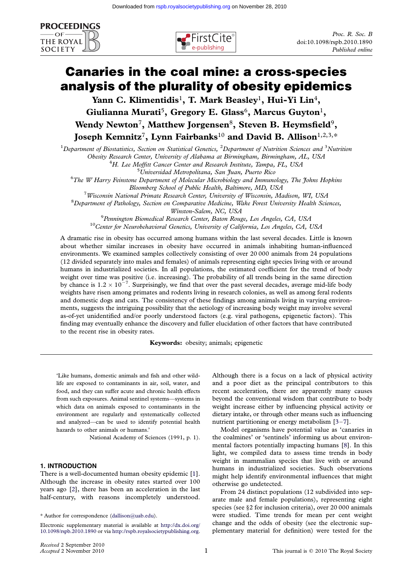



# Canaries in the coal mine: a cross-species analysis of the plurality of obesity epidemics

Yann C. Klimentidis $^1$ , T. Mark Beasley $^1$ , Hui-Yi Lin $^4$ , Giulianna Murati $^5$ , Gregory E. Glass $^6$ , Marcus Guyton $^1$ , Wendy Newton<sup>7</sup>, Matthew Jorgensen $8$ , Steven B. Heymsfield $9$ , Joseph Kemnitz<sup>7</sup>, Lynn Fairbanks<sup>10</sup> and David B. Allison<sup>1,2,3,\*</sup>

<sup>1</sup>Department of Biostatistics, Section on Statistical Genetics, <sup>2</sup>Department of Nutrition Sciences and <sup>3</sup>Nutrition

Obesity Research Center, University of Alabama at Birmingham, Birmingham, AL, USA <sup>4</sup>

 ${}^{4}$ H. Lee Moffitt Cancer Center and Research Institute, Tampa, FL, USA

 $6$ The W Harry Feinstone Department of Molecular Microbiology and Immunology, The Johns Hopkins Bloomberg School of Public Health, Baltimore, MD, USA <sup>7</sup>

 $7$ Wisconsin National Primate Research Center, University of Wisconsin, Madison, WI, USA

 ${}^{8}$ Department of Pathology, Section on Comparative Medicine, Wake Forest University Health Sciences,

Winston-Salem, NC, USA<br><sup>9</sup> Pennington Biomedical Research Center, Baton Rouge, Los Angeles, CA, USA  $10$ Center for Neurobehavioral Genetics, University of California, Los Angeles, CA, USA

A dramatic rise in obesity has occurred among humans within the last several decades. Little is known about whether similar increases in obesity have occurred in animals inhabiting human-influenced environments. We examined samples collectively consisting of over 20 000 animals from 24 populations (12 divided separately into males and females) of animals representing eight species living with or around humans in industrialized societies. In all populations, the estimated coefficient for the trend of body weight over time was positive (i.e. increasing). The probability of all trends being in the same direction by chance is  $1.2 \times 10^{-7}$ . Surprisingly, we find that over the past several decades, average mid-life body weights have risen among primates and rodents living in research colonies, as well as among feral rodents and domestic dogs and cats. The consistency of these findings among animals living in varying environments, suggests the intriguing possibility that the aetiology of increasing body weight may involve several as-of-yet unidentified and/or poorly understood factors (e.g. viral pathogens, epigenetic factors). This finding may eventually enhance the discovery and fuller elucidation of other factors that have contributed to the recent rise in obesity rates.

Keywords: obesity; animals; epigenetic

'Like humans, domestic animals and fish and other wildlife are exposed to contaminants in air, soil, water, and food, and they can suffer acute and chronic health effects from such exposures. Animal sentinel systems—systems in which data on animals exposed to contaminants in the environment are regularly and systematically collected and analyzed—can be used to identify potential health hazards to other animals or humans.'

National Academy of Sciences (1991, p. 1).

# 1. INTRODUCTION

There is a well-documented human obesity epidemic [[1](#page-6-0)]. Although the increase in obesity rates started over 100 years ago [\[2](#page-6-0)], there has been an acceleration in the last half-century, with reasons incompletely understood. Although there is a focus on a lack of physical activity and a poor diet as the principal contributors to this recent acceleration, there are apparently many causes beyond the conventional wisdom that contribute to body weight increase either by influencing physical activity or dietary intake, or through other means such as influencing nutrient partitioning or energy metabolism [[3](#page-7-0)–[7\]](#page-7-0).

Model organisms have potential value as 'canaries in the coalmines' or 'sentinels' informing us about environmental factors potentially impacting humans [\[8](#page-7-0)]. In this light, we compiled data to assess time trends in body weight in mammalian species that live with or around humans in industrialized societies. Such observations might help identify environmental influences that might otherwise go undetected.

From 24 distinct populations (12 subdivided into separate male and female populations), representing eight species (see §2 for inclusion criteria), over 20 000 animals were studied. Time trends for mean per cent weight change and the odds of obesity (see the electronic supplementary material for definition) were tested for the

<sup>&</sup>lt;sup>5</sup>Universidad Metropolitana, San Juan, Puerto Rico

<sup>\*</sup> Author for correspondence ([dallison@uab.edu\)](mailto:dallison@uab.edu).

Electronic supplementary material is available at [http://dx.doi.org/](http://dx.doi.org/10.1098/rspb.2010.1890) [10.1098/rspb.2010.1890](http://dx.doi.org/10.1098/rspb.2010.1890) or via <http://rspb.royalsocietypublishing.org>.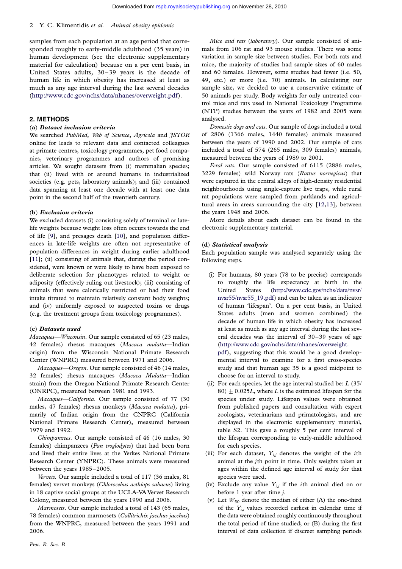samples from each population at an age period that corresponded roughly to early-middle adulthood (35 years) in human development (see the electronic supplementary material for calculation) because on a per cent basis, in United States adults, 30-39 years is the decade of human life in which obesity has increased at least as much as any age interval during the last several decades [\(http://www.cdc.gov/nchs/data/nhanes/overweight.pdf](http://www.cdc.gov/nchs/data/nhanes/overweight.pdf)).

## 2. METHODS

### (a) Dataset inclusion criteria

We searched PubMed, Web of Science, Agricola and JSTOR online for leads to relevant data and contacted colleagues at primate centres, toxicology programmes, pet food companies, veterinary programmes and authors of promising articles. We sought datasets from (i) mammalian species; that (ii) lived with or around humans in industrialized societies (e.g. pets, laboratory animals); and (iii) contained data spanning at least one decade with at least one data point in the second half of the twentieth century.

#### (b) Exclusion criteria

We excluded datasets (i) consisting solely of terminal or latelife weights because weight loss often occurs towards the end of life [\[9](#page-7-0)], and presages death [[10](#page-7-0)], and population differences in late-life weights are often not representative of population differences in weight during earlier adulthood [\[11](#page-7-0)]; (ii) consisting of animals that, during the period considered, were known or were likely to have been exposed to deliberate selection for phenotypes related to weight or adiposity (effectively ruling out livestock); (iii) consisting of animals that were calorically restricted or had their food intake titrated to maintain relatively constant body weights; and (iv) uniformly exposed to suspected toxins or drugs (e.g. the treatment groups from toxicology programmes).

#### (c) Datasets used

Macaques—Wisconsin. Our sample consisted of 65 (23 males, 42 females) rhesus macaques (Macaca mulatta—Indian origin) from the Wisconsin National Primate Research Center (WNPRC) measured between 1971 and 2006.

Macaques—Oregon. Our sample consisted of 46 (14 males, 32 females) rhesus macaques (Macaca Mulatta—Indian strain) from the Oregon National Primate Research Center (ONRPC), measured between 1981 and 1993.

Macaques—California. Our sample consisted of 77 (30 males, 47 females) rhesus monkeys (Macaca mulatta), primarily of Indian origin from the CNPRC (California National Primate Research Center), measured between 1979 and 1992.

Chimpanzees. Our sample consisted of 46 (16 males, 30 females) chimpanzees (Pan troglodytes) that had been born and lived their entire lives at the Yerkes National Primate Research Center (YNPRC). These animals were measured between the years 1985–2005.

Vervets. Our sample included a total of 117 (36 males, 81 females) vervet monkeys (Chlorocebus aethiops sabaeus) living in 18 captive social groups at the UCLA-VA Vervet Research Colony, measured between the years 1990 and 2006.

Marmosets. Our sample included a total of 143 (65 males, 78 females) common marmosets (Callitrichix jacchus jacchus) from the WNPRC, measured between the years 1991 and 2006.

Mice and rats (laboratory). Our sample consisted of animals from 106 rat and 93 mouse studies. There was some variation in sample size between studies. For both rats and mice, the majority of studies had sample sizes of 60 males and 60 females. However, some studies had fewer (i.e. 50, 49, etc.) or more (i.e. 70) animals. In calculating our sample size, we decided to use a conservative estimate of 50 animals per study. Body weights for only untreated control mice and rats used in National Toxicology Programme (NTP) studies between the years of 1982 and 2005 were analysed.

Domestic dogs and cats. Our sample of dogs included a total of 2806 (1366 males, 1440 females) animals measured between the years of 1990 and 2002. Our sample of cats included a total of 574 (265 males, 309 females) animals, measured between the years of 1989 to 2001.

Feral rats. Our sample consisted of 6115 (2886 males, 3229 females) wild Norway rats (Rattus norvegicus) that were captured in the central alleys of high-density residential neighbourhoods using single-capture live traps, while rural rat populations were sampled from parklands and agricultural areas in areas surrounding the city [[12,13](#page-7-0)], between the years 1948 and 2006.

More details about each dataset can be found in the electronic supplementary material.

#### (d) Statistical analysis

Each population sample was analysed separately using the following steps.

- (i) For humans, 80 years (78 to be precise) corresponds to roughly the life expectancy at birth in the United States [\(http://www.cdc.gov/nchs/data/nvsr/](http://www.petfirsthealthcare.com/2008/02/07/petfirst-pet-insurance-to-be-more-popular-in-2008/) [nvsr55/nvsr55\\_19.pdf](http://www.petfirsthealthcare.com/2008/02/07/petfirst-pet-insurance-to-be-more-popular-in-2008/)) and can be taken as an indicator of human 'lifespan'. On a per cent basis, in United States adults (men and women combined) the decade of human life in which obesity has increased at least as much as any age interval during the last several decades was the interval of 30–39 years of age [\(http://www.cdc.gov/nchs/data/nhanes/overweight.](http://dx.doi.org/10.1001/jama.295.13.1549) [pdf](http://dx.doi.org/10.1001/jama.295.13.1549)), suggesting that this would be a good developmental interval to examine for a first cross-species study and that human age 35 is a good midpoint to choose for an interval to study.
- (ii) For each species, let the age interval studied be:  $L(35/$  $80 + 0.025L$ , where L is the estimated lifespan for the species under study. Lifespan values were obtained from published papers and consultation with expert zoologists, veterinarians and primatologists, and are displayed in the electronic supplementary material, table S2. This gave a roughly 5 per cent interval of the lifespan corresponding to early-middle adulthood for each species.
- (iii) For each dataset,  $Y_{i,j}$  denotes the weight of the *i*th animal at the  $j$ th point in time. Only weights taken at ages within the defined age interval of study for that species were used.
- (iv) Exclude any value  $Y_{i,j}$  if the *i*th animal died on or before 1 year after time j.
- (v) Let  $W_{50}$  denote the median of either (A) the one-third of the  $Y_{i,j}$  values recorded earliest in calendar time if the data were obtained roughly continuously throughout the total period of time studied; or (B) during the first interval of data collection if discreet sampling periods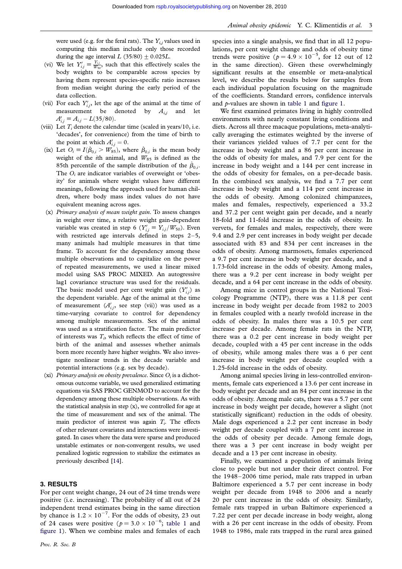were used (e.g. for the feral rats). The  $Y_{i,j}$  values used in computing this median include only those recorded during the age interval  $L$  (35/80)  $\pm$  0.025L.

- (vi) We let  $Y'_{i,j} \equiv \frac{Y_{i,j}}{W_{50}}$ , such that this effectively scales the body weights to be comparable across species by having them represent species-specific ratio increases from median weight during the early period of the data collection.
- (vii) For each  $Y'_{i,j}$ , let the age of the animal at the time of measurement be denoted by  $A_{i,j}$  and let  $A'_{i,j} = A_{i,j} - L(35/80).$
- (viii) Let  $T_i$  denote the calendar time (scaled in years/10, i.e. 'decades', for convenience) from the time of birth to the point at which  $A'_{i,j} = 0$ .
- (ix) Let  $O_i \equiv I(\hat{\beta}_{0,i} > W_{85})$ , where  $\hat{\beta}_{0,i}$  is the mean body weight of the *i*th animal, and  $W_{85}$  is defined as the 85th percentile of the sample distribution of the  $\hat{\beta}_{0,i}$ . The  $O_i$  are indicator variables of overweight or 'obesity' for animals where weight values have different meanings, following the approach used for human children, where body mass index values do not have equivalent meaning across ages.
- $(x)$  *Primary analysis of mean weight gain*. To assess changes in weight over time, a relative weight gain-dependent variable was created in step 6 ( $Y'_{i,j} \equiv Y_{i,j}/W_{50}$ ). Even with restricted age intervals defined in steps  $2-5$ , many animals had multiple measures in that time frame. To account for the dependency among these multiple observations and to capitalize on the power of repeated measurements, we used a linear mixed model using SAS PROC MIXED. An autogressive lag1 covariance structure was used for the residuals. The basic model used per cent weight gain  $(Y'_{i,j})$  as the dependent variable. Age of the animal at the time of measurement  $(A'_{ij},$  see step (vii)) was used as a time-varying covariate to control for dependency among multiple measurements. Sex of the animal was used as a stratification factor. The main predictor of interests was  $T_i$ , which reflects the effect of time of birth of the animal and assesses whether animals born more recently have higher weights. We also investigate nonlinear trends in the decade variable and potential interactions (e.g. sex by decade).
- (xi) Primary analysis on obesity prevalence. Since  $O_i$  is a dichotomous outcome variable, we used generalized estimating equations via SAS PROC GENMOD to account for the dependency among these multiple observations. As with the statistical analysis in step (x), we controlled for age at the time of measurement and sex of the animal. The main predictor of interest was again  $T_i$ . The effects of other relevant covariates and interactions were investigated. In cases where the data were sparse and produced unstable estimates or non-convergent results, we used penalized logistic regression to stabilize the estimates as previously described [\[14\]](#page-7-0).

# 3. RESULTS

For per cent weight change, 24 out of 24 time trends were positive (i.e. increasing). The probability of all out of 24 independent trend estimates being in the same direction by chance is  $1.2 \times 10^{-7}$ . For the odds of obesity, 23 out of 24 cases were positive ( $p = 3.0 \times 10^{-6}$ ; [table 1](#page-4-0) and [figure 1](#page-5-0)). When we combine males and females of each species into a single analysis, we find that in all 12 populations, per cent weight change and odds of obesity time trends were positive  $(p=4.9 \times 10^{-5}$ , for 12 out of 12 in the same direction). Given these overwhelmingly significant results at the ensemble or meta-analytical level, we describe the results below for samples from each individual population focusing on the magnitude of the coefficients. Standard errors, confidence intervals and p-values are shown in [table 1](#page-4-0) and [figure 1.](#page-5-0)

We first examined primates living in highly controlled environments with nearly constant living conditions and diets. Across all three macaque populations, meta-analytically averaging the estimates weighted by the inverse of their variances yielded values of 7.7 per cent for the increase in body weight and a 86 per cent increase in the odds of obesity for males, and 7.9 per cent for the increase in body weight and a 144 per cent increase in the odds of obesity for females, on a per-decade basis. In the combined sex analysis, we find a 7.7 per cent increase in body weight and a 114 per cent increase in the odds of obesity. Among colonized chimpanzees, males and females, respectively, experienced a 33.2 and 37.2 per cent weight gain per decade, and a nearly 18-fold and 11-fold increase in the odds of obesity. In vervets, for females and males, respectively, there were 9.4 and 2.9 per cent increases in body weight per decade associated with 83 and 834 per cent increases in the odds of obesity. Among marmosets, females experienced a 9.7 per cent increase in body weight per decade, and a 1.73-fold increase in the odds of obesity. Among males, there was a 9.2 per cent increase in body weight per decade, and a 64 per cent increase in the odds of obesity.

Among mice in control groups in the National Toxicology Programme (NTP), there was a 11.8 per cent increase in body weight per decade from 1982 to 2003 in females coupled with a nearly twofold increase in the odds of obesity. In males there was a 10.5 per cent increase per decade. Among female rats in the NTP, there was a 0.2 per cent increase in body weight per decade, coupled with a 45 per cent increase in the odds of obesity, while among males there was a 6 per cent increase in body weight per decade coupled with a 1.25-fold increase in the odds of obesity.

Among animal species living in less-controlled environments, female cats experienced a 13.6 per cent increase in body weight per decade and an 84 per cent increase in the odds of obesity. Among male cats, there was a 5.7 per cent increase in body weight per decade, however a slight (not statistically significant) reduction in the odds of obesity. Male dogs experienced a 2.2 per cent increase in body weight per decade coupled with a 7 per cent increase in the odds of obesity per decade. Among female dogs, there was a 3 per cent increase in body weight per decade and a 13 per cent increase in obesity.

Finally, we examined a population of animals living close to people but not under their direct control. For the 1948-2006 time period, male rats trapped in urban Baltimore experienced a 5.7 per cent increase in body weight per decade from 1948 to 2006 and a nearly 20 per cent increase in the odds of obesity. Similarly, female rats trapped in urban Baltimore experienced a 7.22 per cent per decade increase in body weight, along with a 26 per cent increase in the odds of obesity. From 1948 to 1986, male rats trapped in the rural area gained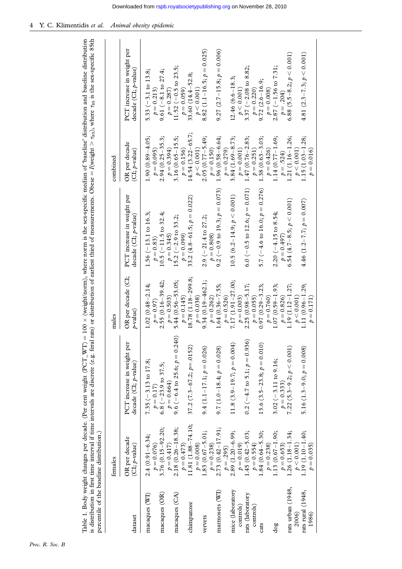<span id="page-4-0"></span>

|                                     | percentile of the baseline distribution.)         | Table 1. Body weight changes per decade. (Per cent weight (PCT_WT) = 100 x (weight/norm), where norm is the sex-specific median of 'baseline' distribution and baseline distribution<br>is distribution in first time interval if time intervals are discrete (e.g. feral |                                                    |                                                    |                                                 | rats) or distribution of earliest third of measurements. Obese = $I(weight > r85)$ , where $r85$ is the sex-specific 85th |
|-------------------------------------|---------------------------------------------------|---------------------------------------------------------------------------------------------------------------------------------------------------------------------------------------------------------------------------------------------------------------------------|----------------------------------------------------|----------------------------------------------------|-------------------------------------------------|---------------------------------------------------------------------------------------------------------------------------|
|                                     | females                                           |                                                                                                                                                                                                                                                                           | males                                              |                                                    | combined                                        |                                                                                                                           |
| dataset                             | OR per decade<br>(CI; p-value)                    | PCT increase in weight per<br>decade (CI; p-value)                                                                                                                                                                                                                        | OR per decade (CI;<br>p-value)                     | PCT increase in weight per<br>decade (CI; p-value) | OR per decade<br>(CI; p-value)                  | PCT increase in weight per<br>decade (CI; p-value)                                                                        |
| macaques (WI)                       | $2.4(0.91 - 6.34;$<br>$p = 0.076$                 | $7.35 (-3.13 \text{ to } 17.8;$<br>$p=0.17)$                                                                                                                                                                                                                              | $1.02(0.48 - 2.14;$<br>$p = 0.97$                  | $1.56$ (-13.1 to 16.3;<br>$p = 0.83$               | $1.90(0.89 - 4.05)$<br>$p = 0.095$              | $5.33 (-3.1$ to 13.8;<br>$p = 0.213$                                                                                      |
| macaques (OR)                       | $3.76(0.15 - 92.20;$<br>$p = 0.417$               | 6.8 ( $-23.9$ to 37.5;<br>$p = 0.664$                                                                                                                                                                                                                                     | $2.55(0.16 - 39.42;$<br>$p = 0.503$                | $10.5$ (-11.5 to 32.4;<br>$p = 0.345$              | $2.94(0.25 - 35.3;$<br>$p = 0.394$              | 9.61 ( $-8.1$ to 27.4;<br>$p = 0.287$                                                                                     |
| macaques (CA)                       | $2.18(0.26 - 18.38;$                              | 9.6 (-6.4 to 25.6; $p = 0.240$ )                                                                                                                                                                                                                                          | $5.44(0.56 - 53.05;$                               | 15.2 ( $-2.9$ to 33.2;                             | $3.16(0.65 - 15.5)$                             | 11.52 ( $-0.5$ to 23.5;                                                                                                   |
| chimpanzee                          | 11.81 (1.88-74.10;<br>$p = 0.473$                 | 37.2 $(7.3 - 67.2; p = .0152)$                                                                                                                                                                                                                                            | 18.78 (1.18 – 299.8;<br>$p = 0.145$<br>$p = 0.038$ | 33.2 $(4.8-61.5; p = 0.022)$<br>$p = 0.099$        | $14.54(3.22 - 65.7)$<br>$p = 0.156$             | 33.60 $(14.4 - 52.8)$<br>p < 0.001<br>$p=0.059)$                                                                          |
| vervets                             | $1.83(0.67 - 5.01)$<br>$p = 0.008$<br>$p = 0.238$ | 9.4 $(1.1 - 17.1; p = 0.026)$                                                                                                                                                                                                                                             | $9.34(0.19 - 462.1)$<br>$p = 0.262$                | $2.9$ (-21.4 to 27.2;<br>$p = 0.808$               | $2.05(0.77 - 5.49;$<br>p < 0.001<br>$p = 0.150$ | 8.82 $(1.1 - 16.5; p = 0.025)$                                                                                            |
| marmosets (WI)                      | $2.73(0.42 - 17.91)$<br>$p = .295$                | 9.7 (1.0 – 18.4; $p = 0.028$ )                                                                                                                                                                                                                                            | $1.64(0.36 - 7.55;$<br>$p = 0.526$                 | 9.2 (-0.9 to 19.3; $p = 0.073$ )                   | $1.96(0.58 - 6.64;$<br>$p = 0.279$              | 9.27 $(2.7-15.8; p = 0.006)$                                                                                              |
| mice (laboratory                    | 2.89 (1.20 - 6.99;<br>$p = 0.019$                 | 11.8 $(3.9-19.7; p = 0.004)$                                                                                                                                                                                                                                              | $7.17(1.91 - 27.00;$<br>$p = 0.003$                | $10.5(6.2 - 14.9; p < 0.001)$                      | $3.84(1.69 - 8.73;$<br>$p = 0.001$              | $12.46(6.6 - 18.3;$                                                                                                       |
| rats (laboratory<br>controls)       | $1.45(0.42 - 5.03;$                               | $0.2 (-4.7 \text{ to } 5.1; p = 0.936)$                                                                                                                                                                                                                                   | $2.25(0.98 - 5.17)$                                | 6.0 (-0.5 to 12.6; $p = 0.071$ )                   | $1.47(0.76 - 2.83;$                             | 3.37 ( $-2.08$ to 8.82;<br>p < 0.001                                                                                      |
| controls.<br>cats                   | $1.84(0.64 - 5.30;$<br>$p = 0.554$                | 13.6 $(3.5-23.8; p = 0.010)$                                                                                                                                                                                                                                              | $0.97(0.29 - 3.23;$<br>$p = 0.055$                 | 5.7 (-4.6 to 16.0; $p = 0.276$ )                   | $1.38(0.63 - 3.03;$<br>$p = 0.251$              | $9.72(2.6 - 16.9;$<br>$p = 0.220$                                                                                         |
| $\frac{d}{d}$                       | $1.13(0.67 - 1.90;$<br>$p = 0.238$                | $3.02$ (-3.11 to 9.16;                                                                                                                                                                                                                                                    | $1.07(0.59 - 1.93;$<br>$p = 0.760$                 | 2.20 ( $-4.15$ to 8.54;                            | $1.14(0.77 - 1.69;$<br>$p = 0.426$              | $2.87$ (-1.56 to 7.31;<br>$p = 0.008$                                                                                     |
| rats urban (1948,                   | $1.26$ (1.18 – 1.34;<br>$p = 0.653$               | 7.22 (5.3–9.2; $p < 0.001$ )<br>$p = 0.333$                                                                                                                                                                                                                               | $1.19(1.12 - 1.27)$<br>$p = 0.826$                 | $6.54(4.7-8.5; p < 0.001)$<br>$p = 0.497$          | $.21(1.16 - 1.26)$<br>$p = .524$                | 6.88 $(5.5-8.2; p < 0.001)$<br>$p = .204$                                                                                 |
| rats rural (1948,<br>2006)<br>1986) | $1.19(1.10 - 1.40;$<br>p < 0.001<br>$p = 0.035$   | 5.16 $(1.3-9.0; p = 0.008)$                                                                                                                                                                                                                                               | $1.11(0.96 - 1.29)$<br>p < 0.001<br>$p = 0.171$    | 4.46 $(1.2 - 7.7; p = 0.007)$                      | $1.15(1.03 - 1.28;$<br>p < 0.001<br>$p = 0.016$ | 4.81 $(2.3-7.3; p < 0.001)$                                                                                               |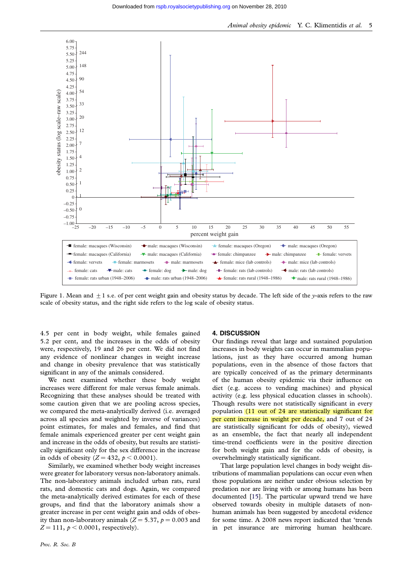<span id="page-5-0"></span>

Figure 1. Mean and  $\pm$  1 s.e. of per cent weight gain and obesity status by decade. The left side of the y-axis refers to the raw scale of obesity status, and the right side refers to the log scale of obesity status.

4.5 per cent in body weight, while females gained 5.2 per cent, and the increases in the odds of obesity were, respectively, 19 and 26 per cent. We did not find any evidence of nonlinear changes in weight increase and change in obesity prevalence that was statistically significant in any of the animals considered.

We next examined whether these body weight increases were different for male versus female animals. Recognizing that these analyses should be treated with some caution given that we are pooling across species, we compared the meta-analytically derived (i.e. averaged across all species and weighted by inverse of variances) point estimates, for males and females, and find that female animals experienced greater per cent weight gain and increase in the odds of obesity, but results are statistically significant only for the sex difference in the increase in odds of obesity  $(Z = 432, p < 0.0001)$ .

Similarly, we examined whether body weight increases were greater for laboratory versus non-laboratory animals. The non-laboratory animals included urban rats, rural rats, and domestic cats and dogs. Again, we compared the meta-analytically derived estimates for each of these groups, and find that the laboratory animals show a greater increase in per cent weight gain and odds of obesity than non-laboratory animals ( $Z = 5.37$ ,  $p = 0.003$  and  $Z = 111$ ,  $p < 0.0001$ , respectively).

#### 4. DISCUSSION

Our findings reveal that large and sustained population increases in body weights can occur in mammalian populations, just as they have occurred among human populations, even in the absence of those factors that are typically conceived of as the primary determinants of the human obesity epidemic via their influence on diet (e.g. access to vending machines) and physical activity (e.g. less physical education classes in schools). Though results were not statistically significant in every population (11 out of 24 are statistically significant for per cent increase in weight per decade, and 7 out of 24 are statistically significant for odds of obesity), viewed as an ensemble, the fact that nearly all independent time-trend coefficients were in the positive direction for both weight gain and for the odds of obesity, is overwhelmingly statistically significant.

That large population level changes in body weight distributions of mammalian populations can occur even when those populations are neither under obvious selection by predation nor are living with or among humans has been documented [[15](#page-7-0)]. The particular upward trend we have observed towards obesity in multiple datasets of nonhuman animals has been suggested by anecdotal evidence for some time. A 2008 news report indicated that 'trends in pet insurance are mirroring human healthcare.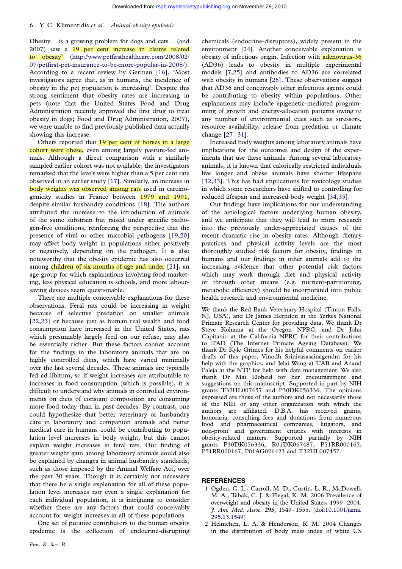<span id="page-6-0"></span>Obesity... is a growing problem for dogs and cats... (and 2007) saw a 19 per cent increase in claims related to obesity' [\(http://www.petfirsthealthcare.com/2008/02/](http://www.petfirsthealthcare.com/2008/02/07/petfirst-pet-insurance-to-be-more-popular-in-2008/) [07/petfirst-pet-insurance-to-be-more-popular-in-2008/\)](http://www.petfirsthealthcare.com/2008/02/07/petfirst-pet-insurance-to-be-more-popular-in-2008/). According to a recent review by German [\[16\]](#page-7-0), 'Most investigators agree that, as in humans, the incidence of obesity in the pet population is increasing'. Despite this strong sentiment that obesity rates are increasing in pets (note that the United States Food and Drug Administration recently approved the first drug to treat obesity in dogs; Food and Drug Administration, 2007), we were unable to find previously published data actually showing this increase.

Others reported that 19 per cent of horses in a large cohort were obese, even among largely pasture-fed animals. Although a direct comparison with a similarly sampled earlier cohort was not available, the investigators remarked that the levels were higher than a 5 per cent rate observed in an earlier study [\[17\]](#page-7-0). Similarly, an increase in body weights was observed among rats used in carcinogenicity studies in France between 1979 and 1991, despite similar husbandry conditions [[18](#page-7-0)]. The authors attributed the increase to the introduction of animals of the same substrain but raised under specific pathogen-free conditions, reinforcing the perspective that the presence of viral or other microbial pathogens [\[19,20](#page-7-0)] may affect body weight in populations either positively or negatively, depending on the pathogen. It is also noteworthy that the obesity epidemic has also occurred among children of six months of age and under [[21](#page-7-0)], an age group for which explanations involving food marketing, less physical education is schools, and more laboursaving devices seem questionable.

There are multiple conceivable explanations for these observations. Feral rats could be increasing in weight because of selective predation on smaller animals [\[22,23](#page-7-0)] or because just as human real wealth and food consumption have increased in the United States, rats which presumably largely feed on our refuse, may also be essentially richer. But these factors cannot account for the findings in the laboratory animals that are on highly controlled diets, which have varied minimally over the last several decades. These animals are typically fed ad libitum, so if weight increases are attributable to increases in food consumption (which is possible), it is difficult to understand why animals in controlled environments on diets of constant composition are consuming more food today than in past decades. By contrast, one could hypothesize that better veterinary or husbandry care in laboratory and companion animals and better medical care in humans could be contributing to population level increases in body weight, but this cannot explain weight increases in feral rats. Our finding of greater weight gain among laboratory animals could also be explained by changes in animal husbandry standards, such as those imposed by the Animal Welfare Act, over the past 30 years. Though it is certainly not necessary that there be a single explanation for all of these population level increases nor even a single explanation for each individual population, it is intriguing to consider whether there are any factors that could conceivably account for weight increases in all of these populations.

One set of putative contributors to the human obesity epidemic is the collection of endocrine-disrupting chemicals (endocrine-disruptors), widely present in the environment [\[24\]](#page-7-0). Another conceivable explanation is obesity of infectious origin. Infection with adenovirus-36 (AD36) leads to obesity in multiple experimental models [\[7,25\]](#page-7-0) and antibodies to AD36 are correlated with obesity in humans [[26](#page-7-0)]. These observations suggest that AD36 and conceivably other infectious agents could be contributing to obesity within populations. Other explanations may include epigenetic-mediated programming of growth and energy-allocation patterns owing to any number of environmental cues such as stressors, resource availability, release from predation or climate change [[27](#page-7-0)–[31](#page-7-0)].

Increased body weights among laboratory animals have implications for the outcomes and design of the experiments that use these animals. Among several laboratory animals, it is known that calorically restricted individuals live longer and obese animals have shorter lifespans [\[32,33](#page-7-0)]. This has had implications for toxicology studies in which some researchers have shifted to controlling for reduced lifespan and increased body weight [\[34,35\]](#page-7-0).

Our findings have implications for our understanding of the aetiological factors underlying human obesity, and we anticipate that they will lead to more research into the previously under-appreciated causes of the recent dramatic rise in obesity rates. Although dietary practices and physical activity levels are the most thoroughly studied risk factors for obesity, findings in humans and our findings in other animals add to the increasing evidence that other potential risk factors which may work through diet and physical activity or through other means (e.g. nutrient-partitioning, metabolic efficiency) should be incorporated into public health research and environmental medicine.

We thank the Red Bank Veterinary Hospital (Tinton Falls, NJ, USA), and Dr James Herndon at the Yerkes National Primate Research Center for providing data. We thank Dr Steve Kohama at the Oregon NPRC, and Dr John Capitanio at the California NPRC for their contributions to iPAD (The Internet Primate Ageing Database). We thank Dr Kyle Grimes for his helpful comments on earlier drafts of this paper, Vinodh Srinivasasainagendra for his help with the graphics, and Jelai Wang at UAB and Anand Paleja at the NTP for help with data management. We also thank Dr Mai Elobeid for her encouragement and suggestions on this manuscript. Supported in part by NIH grants T32HL007457 and P30DK056336. The opinions expressed are those of the authors and not necessarily those of the NIH or any other organization with which the authors are affiliated. D.B.A. has received grants, honoraria, consulting fees and donations from numerous food and pharmaceutical companies, litigators, and non-profit and government entities with interests in obesity-related matters. Supported partially by NIH grants P30DK056336, R01DK067487, P51RR000165, P51RR000167, P01AG026423 and T32HL007457.

#### REFERENCES

- 1 Ogden, C. L., Carroll, M. D., Curtin, L. R., McDowell, M. A., Tabak, C. J. & Flegal, K. M. 2006 Prevalence of overweight and obesity in the United States, 1999–2004. J. Am. Med. Assoc. 295, 1549–1555. [\(doi:10.1001/jama.](http://dx.doi.org/10.1001/jama.295.13.1549) [295.13.1549\)](http://dx.doi.org/10.1001/jama.295.13.1549)
- 2 Helmchen, L. A. & Henderson, R. M. 2004 Changes in the distribution of body mass index of white US